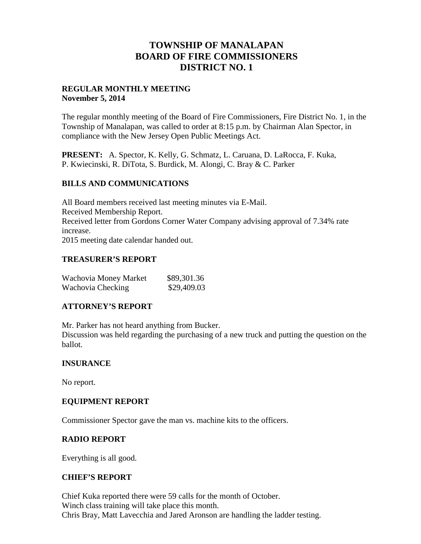# **TOWNSHIP OF MANALAPAN BOARD OF FIRE COMMISSIONERS DISTRICT NO. 1**

# **REGULAR MONTHLY MEETING November 5, 2014**

The regular monthly meeting of the Board of Fire Commissioners, Fire District No. 1, in the Township of Manalapan, was called to order at 8:15 p.m. by Chairman Alan Spector, in compliance with the New Jersey Open Public Meetings Act.

**PRESENT:** A. Spector, K. Kelly, G. Schmatz, L. Caruana, D. LaRocca, F. Kuka, P. Kwiecinski, R. DiTota, S. Burdick, M. Alongi, C. Bray & C. Parker

# **BILLS AND COMMUNICATIONS**

All Board members received last meeting minutes via E-Mail. Received Membership Report. Received letter from Gordons Corner Water Company advising approval of 7.34% rate increase. 2015 meeting date calendar handed out.

# **TREASURER'S REPORT**

| Wachovia Money Market | \$89,301.36 |  |
|-----------------------|-------------|--|
| Wachovia Checking     | \$29,409.03 |  |

# **ATTORNEY'S REPORT**

Mr. Parker has not heard anything from Bucker.

Discussion was held regarding the purchasing of a new truck and putting the question on the ballot.

#### **INSURANCE**

No report.

#### **EQUIPMENT REPORT**

Commissioner Spector gave the man vs. machine kits to the officers.

#### **RADIO REPORT**

Everything is all good.

#### **CHIEF'S REPORT**

Chief Kuka reported there were 59 calls for the month of October. Winch class training will take place this month. Chris Bray, Matt Lavecchia and Jared Aronson are handling the ladder testing.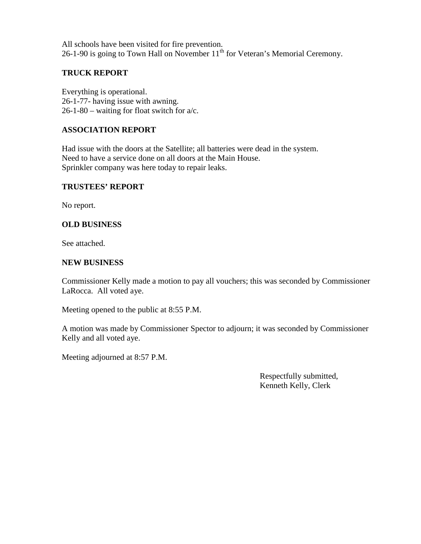All schools have been visited for fire prevention. 26-1-90 is going to Town Hall on November  $11<sup>th</sup>$  for Veteran's Memorial Ceremony.

# **TRUCK REPORT**

Everything is operational. 26-1-77- having issue with awning. 26-1-80 – waiting for float switch for a/c.

# **ASSOCIATION REPORT**

Had issue with the doors at the Satellite; all batteries were dead in the system. Need to have a service done on all doors at the Main House. Sprinkler company was here today to repair leaks.

#### **TRUSTEES' REPORT**

No report.

# **OLD BUSINESS**

See attached.

#### **NEW BUSINESS**

Commissioner Kelly made a motion to pay all vouchers; this was seconded by Commissioner LaRocca. All voted aye.

Meeting opened to the public at 8:55 P.M.

A motion was made by Commissioner Spector to adjourn; it was seconded by Commissioner Kelly and all voted aye.

Meeting adjourned at 8:57 P.M.

Respectfully submitted, Kenneth Kelly, Clerk